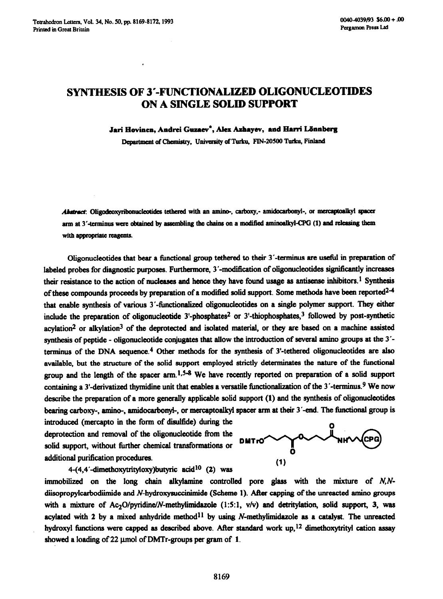## **SYNTHESIS OF 3'-FUNCTIONALIZED OLIGONUCLEOTIDES ON A SINGLE SOLID SUPPORT**

Jari Hovinen, Andrei Guzaev<sup>\*</sup>, Alex Azhayev, and Harri Lönnberg

Department of Chemistry, University of Turku, FIN-20500 Turku, Finland

Abstract: Oligodeoxyribonucleotides tethered with an amino-, carboxy,- amidocarbonyl-, or mercaptoalkyl spacer arm at 3'-terminus were obtained by assembling the chains on a modified aminoalkyl-CPG (1) and releasing them with appropriate reagents.

Oligonucleotides that bear a functional group tethered to their 3'-terminus are useful in preparation of labeled probes for diagnostic purposes. Furthermore, 3'-modification of oligonucleotides significantly increases their resistance to the action of nucleases and hence they have found usage as antisense inhibitors.<sup>1</sup> Synthesis of these compounds proceeds by preparation of a modified solid support. Some methods have been reported $2-4$ that enable synthesis of various 3'-functionalized oligonucleotides on a single polymer support. They either include the preparation of oligonucleotide 3'-phosphates2 or 3'-thiophosphates,3 followed by **post-synthetic**  acylation<sup>2</sup> or alkylation<sup>3</sup> of the deprotected and isolated material, or they are based on a machine assisted synthesis of peptide - oligonucleotide conjugates that allow the introduction of several amino groups at the 3<sup>'</sup>terminus of the DNA sequence.4 Other methods for the synthesis of 3'-tethered oligonucleotides are also available, but the structure of the solid support employed strictly dekrminates the nature of the fimctional group and the length of the spacer  $arm$ .  $1.5-8$  We have recently reported on preparation of a solid support containing a 3'-derivatized thymidine unit that enables a versatile functionalization of the  $3'$ -terminus.<sup>9</sup> We now describe the preparation of a more generally applicable solid support **(1)** and the synthesis of ohgonucleotides bearing carboxy-, amino-, amidocarbonyk, or mercaptoalkyl spacer arm at their 3'-end. The fimctional group is

introduced (mercapto in the form of disulfide) during the deprotection and removal of the ohgonucleotide from the solid support, without further chemical transformations or additional purification procedures. <sup>0</sup>

 $4-(4,4'-dimension$ dimethoxytrityloxy)butyric acid<sup>10</sup> (2) was



immobilized on the long chain alkylamine controlled pore glass with the mixture of  $N.N$ diisopropylcarbodiimide and N-hydroxysuccinimide (Scheme 1). After capping of the unreacted amino groups with a mixture of Ac<sub>2</sub>O/pyridine/N-methylimidazole  $(1:5:1, v/v)$  and detritylation, solid support, 3, was acylated with 2 by a mixed anhydride method<sup>11</sup> by using N-methylimidazole as a catalyst. The unreacted hydroxyl functions were capped as described above. After standard work up,<sup>12</sup> dimethoxytrityl cation assay showed a loading of  $22 \mu$ mol of DMTr-groups per gram of 1.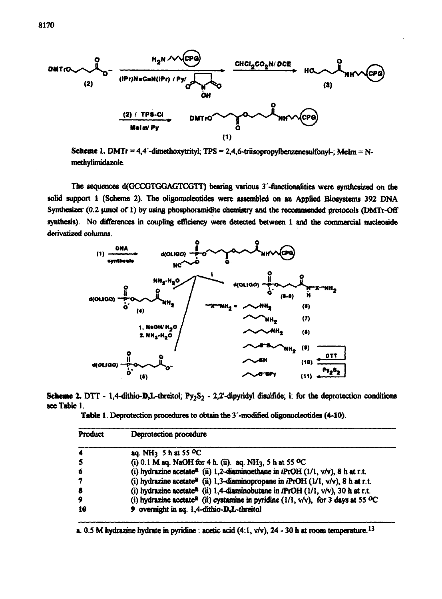

Scheme 1. DMTr = 4,4'-dimethoxytrityl; TPS = 2,4,6-triisopropylbenzenesulfonyl-; MeIm = Nmethylimidazole.

The sequences d(GCCGTGGAGTCGTT) bearing various 3'-functionalities were synthesized on the solid support 1 (Scheme 2). The oligonucleotides were assembled on an Applied Biosystems 392 DNA Synthesizer (0.2 μmol of 1) by using phosphoramidite chemistry and the recommended protocols (DMTr-Off synthesis). No differences in coupling efficiency were detected between 1 and the commercial nucleoside derivatized columns.



Scheme 2. DTT - 1,4-dithio-D,L-threitol; Py<sub>2</sub>S<sub>2</sub> - 2,2'-dipyridyl disulfide; i: for the deprotection conditions see Table 1.

Table 1. Deprotection procedures to obtain the 3'-modified oligonucleotides (4-10).

| Product | Deprotection procedure                                                                                           |  |  |  |  |  |  |
|---------|------------------------------------------------------------------------------------------------------------------|--|--|--|--|--|--|
| -4      | aq. NH <sub>3</sub> 5 h at 55 <sup>o</sup> C                                                                     |  |  |  |  |  |  |
| -5      | (i) 0.1 M aq. NaOH for 4 h. (ii). aq. NH <sub>3</sub> , 5 h at 55 °C                                             |  |  |  |  |  |  |
| -6      | (i) hydrazine acetate <sup>a</sup> (ii) 1,2-diaminoethane in iPrOH (1/1, v/v), 8 h at r.t.                       |  |  |  |  |  |  |
| 7       | (i) hydrazine acetate <sup>8</sup> (ii) 1,3-diaminopropane in <i>iPrOH</i> ( $1/1$ , v/v), 8 h at r.t.           |  |  |  |  |  |  |
| 8       | (i) hydrazine acetate <sup>8</sup> (ii) 1,4-diaminobutane in <i>iPrOH</i> ( $1/1$ , $v/v$ ), 30 h at r.t.        |  |  |  |  |  |  |
| 9       | (i) hydrazine acetate <sup>8</sup> (ii) cystamine in pyridine ( $1/1$ , $v/v$ ), for 3 days at 55 <sup>o</sup> C |  |  |  |  |  |  |
| 10      | 9 overnight in sq. 1,4-dithio-D,L-threitol                                                                       |  |  |  |  |  |  |

a. 0.5 M hydrazine hydrate in pyridine : acetic acid  $(4.1, v/v)$ , 24 - 30 h at room temperature.<sup>13</sup>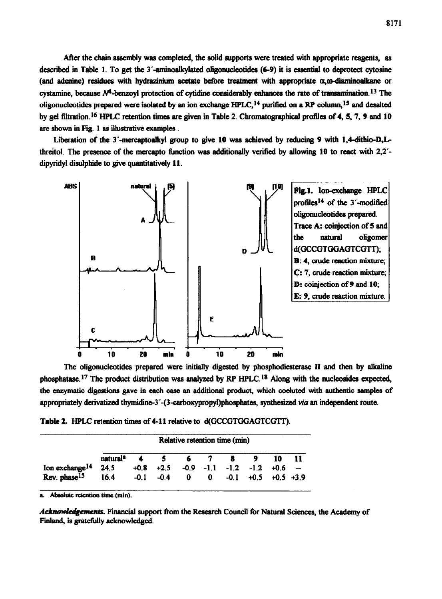After **the chain assembly** was completed, **the** solid supports were treated with appropriate reagents, as described in Table 1. To get the 3'-aminoalkylated oligonucleotides (6-9) it is essential to deprotect cytosine (and adenine) residues with hydrazinium acetate before treatment with appropriate  $\alpha$ , $\omega$ -diaminoalkane or cystamine, because N<sup>4</sup>-benzoyl protection of cytidine considerably eahances the rate of transamination.<sup>13</sup> The oligonucleotides prepared were isolated by an ion exchange  $HPLC<sub>1</sub><sup>14</sup>$  purified on a RP column,<sup>15</sup> and desalted by gel filtration.<sup>16</sup> HPLC retention times are given in Table 2. Chromatographical profiles of 4, 5, 7, 9 and 10 are shown in Fig. 1 as illustrative examples.

Liberation of the 3'-mercaptoalkyl group to give 10 was achieved by reducing 9 with 1,4-dithio-D,Lthreitol. The presence of the mercapto function was additionally verified by allowing 10 to react with 2,2'dipyridyl disulphide to give quantitatively **11.** 



The oligonucleotides prepared were initially digested by phosphodiesterase II and then by alkaline phosphatase.17 The product distribution was analyzed by RP HPLC.18 Along with the nucleosides expected, the enzymatic digestions gave in each case an additional product, which coeluted with authentic samples of appropriately derivatized thymidine-3'-(3-carboxypropyl)phosphates, synthesized via an independent route.

**Table 2. HPLC** retention times of 4-l **1** relative to d(GCCGTGGAGTCGTT).

|                            | Relative retention time (min) |  |                                                  |              |              |        |  |                      |  |  |
|----------------------------|-------------------------------|--|--------------------------------------------------|--------------|--------------|--------|--|----------------------|--|--|
|                            | natural <sup>a</sup>          |  | $\sim$                                           |              | 6 7          | 89     |  | 10                   |  |  |
| Ion exchange <sup>14</sup> | 24.5                          |  | $+0.8$ $+2.5$ $-0.9$ $-1.1$ $-1.2$ $-1.2$ $+0.6$ |              |              |        |  |                      |  |  |
| Rev. phase <sup>15</sup>   | 16.4                          |  | $-0.1 -0.4$                                      | $\mathbf{0}$ | $\mathbf{0}$ | $-0.1$ |  | $+0.5$ $+0.5$ $+3.9$ |  |  |

Absolute retention time (min).

Acknowledgements. Financial support from the Research Council for Natural Sciences, the Academy of Finland, is gratefully acknowledged.